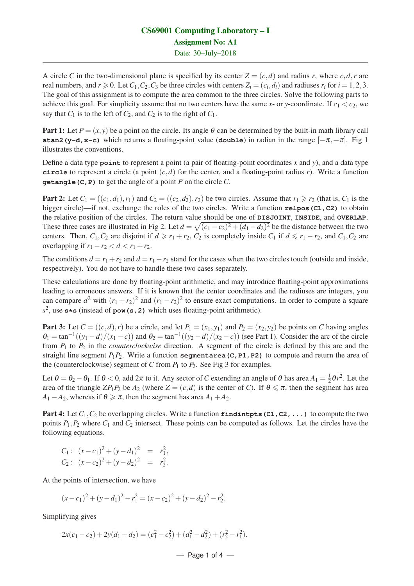## CS69001 Computing Laboratory – I Assignment No: A1 Date: 30–July–2018

A circle *C* in the two-dimensional plane is specified by its center  $Z = (c,d)$  and radius *r*, where  $c,d,r$  are real numbers, and  $r \ge 0$ . Let  $C_1, C_2, C_3$  be three circles with centers  $Z_i = (c_i, d_i)$  and radiuses  $r_i$  for  $i = 1, 2, 3$ . The goal of this assignment is to compute the area common to the three circles. Solve the following parts to achieve this goal. For simplicity assume that no two centers have the same *x*- or *y*-coordinate. If  $c_1 < c_2$ , we say that  $C_1$  is to the left of  $C_2$ , and  $C_2$  is to the right of  $C_1$ .

**Part 1:** Let  $P = (x, y)$  be a point on the circle. Its angle  $\theta$  can be determined by the built-in math library call **atan2(y-d,x-c)** which returns a floating-point value (**double**) in radian in the range  $[-\pi, +\pi]$ . Fig 1 illustrates the conventions.

Define a data type **point** to represent a point (a pair of floating-point coordinates *x* and *y*), and a data type **circle** to represent a circle (a point  $(c,d)$  for the center, and a floating-point radius *r*). Write a function **getangle(C,P)** to get the angle of a point *P* on the circle *C*.

Part 2: Let  $C_1 = ((c_1,d_1),r_1)$  and  $C_2 = ((c_2,d_2),r_2)$  be two circles. Assume that  $r_1 \ge r_2$  (that is,  $C_1$  is the bigger circle)—if not, exchange the roles of the two circles. Write a function **relpos(C1,C2)** to obtain the relative position of the circles. The return value should be one of **DISJOINT**, **INSIDE**, and **OVERLAP**. These three cases are illustrated in Fig 2. Let  $d = \sqrt{(c_1 - c_2)^2 + (d_1 - d_2)^2}$  be the distance between the two centers. Then,  $C_1$ ,  $C_2$  are disjoint if  $d \ge r_1 + r_2$ ,  $C_2$  is completely inside  $C_1$  if  $d \le r_1 - r_2$ , and  $C_1$ ,  $C_2$  are overlapping if  $r_1 - r_2 < d < r_1 + r_2$ .

The conditions  $d = r_1 + r_2$  and  $d = r_1 - r_2$  stand for the cases when the two circles touch (outside and inside, respectively). You do not have to handle these two cases separately.

These calculations are done by floating-point arithmetic, and may introduce floating-point approximations leading to erroneous answers. If it is known that the center coordinates and the radiuses are integers, you can compare  $d^2$  with  $(r_1 + r_2)^2$  and  $(r_1 - r_2)^2$  to ensure exact computations. In order to compute a square *s* 2 , use **s\*s** (instead of **pow(s,2)** which uses floating-point arithmetic).

**Part 3:** Let  $C = ((c,d), r)$  be a circle, and let  $P_1 = (x_1, y_1)$  and  $P_2 = (x_2, y_2)$  be points on *C* having angles  $\theta_1 = \tan^{-1}((y_1 - d)/(x_1 - c))$  and  $\theta_2 = \tan^{-1}((y_2 - d)/(x_2 - c))$  (see Part 1). Consider the arc of the circle from *P*<sup>1</sup> to *P*<sup>2</sup> in the *counterclockwise* direction. A segment of the circle is defined by this arc and the straight line segment  $P_1P_2$ . Write a function **segmentarea(C,P1,P2)** to compute and return the area of the (counterclockwise) segment of *C* from  $P_1$  to  $P_2$ . See Fig 3 for examples.

Let  $\theta = \theta_2 - \theta_1$ . If  $\theta < 0$ , add  $2\pi$  to it. Any sector of *C* extending an angle of  $\theta$  has area  $A_1 = \frac{1}{2}$  $\frac{1}{2}\theta r^2$ . Let the area of the triangle  $ZP_1P_2$  be  $A_2$  (where  $Z = (c,d)$  is the center of *C*). If  $\theta \leq \pi$ , then the segment has area  $A_1 - A_2$ , whereas if  $\theta \ge \pi$ , then the segment has area  $A_1 + A_2$ .

Part 4: Let  $C_1$ ,  $C_2$  be overlapping circles. Write a function **findintpts (C1, C2, ...)** to compute the two points  $P_1$ ,  $P_2$  where  $C_1$  and  $C_2$  intersect. These points can be computed as follows. Let the circles have the following equations.

C<sub>1</sub>: 
$$
(x-c_1)^2 + (y-d_1)^2 = r_1^2
$$
,  
C<sub>2</sub>:  $(x-c_2)^2 + (y-d_2)^2 = r_2^2$ .

At the points of intersection, we have

$$
(x-c1)2 + (y-d1)2 - r12 = (x-c2)2 + (y-d2)2 - r22.
$$

Simplifying gives

$$
2x(c_1-c_2)+2y(d_1-d_2)=(c_1^2-c_2^2)+(d_1^2-d_2^2)+(r_2^2-r_1^2).
$$

$$
- \text{ Page 1 of 4 } -
$$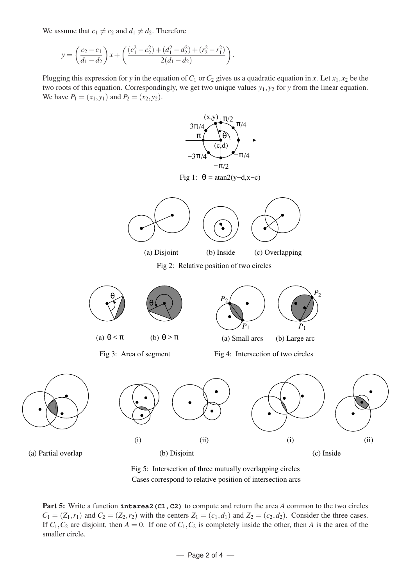We assume that  $c_1 \neq c_2$  and  $d_1 \neq d_2$ . Therefore

$$
y = \left(\frac{c_2 - c_1}{d_1 - d_2}\right) x + \left(\frac{(c_1^2 - c_2^2) + (d_1^2 - d_2^2) + (r_2^2 - r_1^2)}{2(d_1 - d_2)}\right).
$$

Plugging this expression for *y* in the equation of  $C_1$  or  $C_2$  gives us a quadratic equation in *x*. Let  $x_1, x_2$  be the two roots of this equation. Correspondingly, we get two unique values *y*1, *y*<sup>2</sup> for *y* from the linear equation. We have  $P_1 = (x_1, y_1)$  and  $P_2 = (x_2, y_2)$ .





Part 5: Write a function intarea2 (C1, C2) to compute and return the area *A* common to the two circles  $C_1 = (Z_1, r_1)$  and  $C_2 = (Z_2, r_2)$  with the centers  $Z_1 = (c_1, d_1)$  and  $Z_2 = (c_2, d_2)$ . Consider the three cases. If  $C_1$ ,  $C_2$  are disjoint, then  $A = 0$ . If one of  $C_1$ ,  $C_2$  is completely inside the other, then *A* is the area of the smaller circle.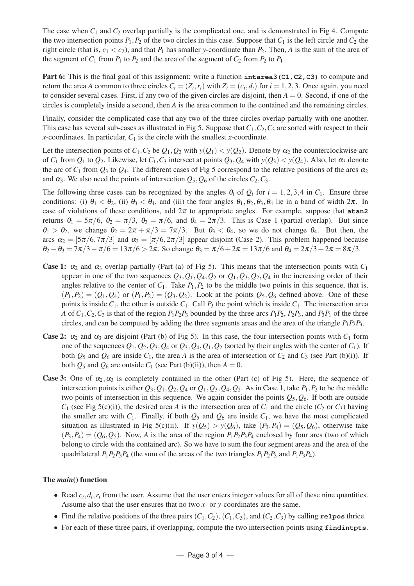The case when  $C_1$  and  $C_2$  overlap partially is the complicated one, and is demonstrated in Fig 4. Compute the two intersection points  $P_1$ ,  $P_2$  of the two circles in this case. Suppose that  $C_1$  is the left circle and  $C_2$  the right circle (that is,  $c_1 < c_2$ ), and that  $P_1$  has smaller y-coordinate than  $P_2$ . Then, A is the sum of the area of the segment of  $C_1$  from  $P_1$  to  $P_2$  and the area of the segment of  $C_2$  from  $P_2$  to  $P_1$ .

Part 6: This is the final goal of this assignment: write a function **intarea3** (C1, C2, C3) to compute and return the area *A* common to three circles  $C_i = (Z_i, r_i)$  with  $Z_i = (c_i, d_i)$  for  $i = 1, 2, 3$ . Once again, you need to consider several cases. First, if any two of the given circles are disjoint, then  $A = 0$ . Second, if one of the circles is completely inside a second, then *A* is the area common to the contained and the remaining circles.

Finally, consider the complicated case that any two of the three circles overlap partially with one another. This case has several sub-cases as illustrated in Fig 5. Suppose that  $C_1$ ,  $C_2$ ,  $C_3$  are sorted with respect to their *x*-coordinates. In particular,  $C_1$  is the circle with the smallest *x*-coordinate.

Let the intersection points of  $C_1$ ,  $C_2$  be  $Q_1$ ,  $Q_2$  with  $y(Q_1) < y(Q_2)$ . Denote by  $\alpha_2$  the counterclockwise arc of  $C_1$  from  $Q_1$  to  $Q_2$ . Likewise, let  $C_1$ ,  $C_3$  intersect at points  $Q_3$ ,  $Q_4$  with  $y(Q_3) < y(Q_4)$ . Also, let  $\alpha_3$  denote the arc of  $C_1$  from  $Q_3$  to  $Q_4$ . The different cases of Fig 5 correspond to the relative positions of the arcs  $\alpha_2$ and  $\alpha_3$ . We also need the points of intersection  $Q_5$ ,  $Q_6$  of the circles  $C_2$ ,  $C_3$ .

The following three cases can be recognized by the angles  $\theta_i$  of  $Q_i$  for  $i = 1, 2, 3, 4$  in  $C_1$ . Ensure three conditions: (i)  $\theta_1 < \theta_2$ , (ii)  $\theta_3 < \theta_4$ , and (iii) the four angles  $\theta_1, \theta_2, \theta_3, \theta_4$  lie in a band of width  $2\pi$ . In case of violations of these conditions, add  $2\pi$  to appropriate angles. For example, suppose that  $atan2$ returns  $\theta_1 = 5\pi/6$ ,  $\theta_2 = \pi/3$ ,  $\theta_3 = \pi/6$ , and  $\theta_4 = 2\pi/3$ . This is Case 1 (partial overlap). But since  $\theta_1 > \theta_2$ , we change  $\theta_2 = 2\pi + \pi/3 = 7\pi/3$ . But  $\theta_3 < \theta_4$ , so we do not change  $\theta_4$ . But then, the arcs  $\alpha_2 = [5\pi/6, 7\pi/3]$  and  $\alpha_3 = [\pi/6, 2\pi/3]$  appear disjoint (Case 2). This problem happened because  $\theta_2 - \theta_3 = 7\pi/3 - \pi/6 = 13\pi/6 > 2\pi$ . So change  $\theta_3 = \pi/6 + 2\pi = 13\pi/6$  and  $\theta_4 = 2\pi/3 + 2\pi = 8\pi/3$ .

- Case 1:  $\alpha_2$  and  $\alpha_3$  overlap partially (Part (a) of Fig 5). This means that the intersection points with  $C_1$ appear in one of the two sequences  $Q_3$ ,  $Q_1$ ,  $Q_4$ ,  $Q_2$  or  $Q_1$ ,  $Q_3$ ,  $Q_2$ ,  $Q_4$  in the increasing order of their angles relative to the center of  $C_1$ . Take  $P_1$ ,  $P_2$  to be the middle two points in this sequence, that is,  $(P_1, P_2) = (Q_1, Q_4)$  or  $(P_1, P_2) = (Q_3, Q_2)$ . Look at the points  $Q_5, Q_6$  defined above. One of these points is inside  $C_1$ , the other is outside  $C_1$ . Call  $P_3$  the point which is inside  $C_1$ . The intersection area *A* of  $C_1$ ,  $C_2$ ,  $C_3$  is that of the region  $P_1P_2P_3$  bounded by the three arcs  $P_1P_2$ ,  $P_2P_3$ , and  $P_3P_1$  of the three circles, and can be computed by adding the three segments areas and the area of the triangle  $P_1P_2P_3$ .
- **Case 2:**  $\alpha_2$  and  $\alpha_3$  are disjoint (Part (b) of Fig 5). In this case, the four intersection points with  $C_1$  form one of the sequences  $Q_1, Q_2, Q_3, Q_4$  or  $Q_3, Q_4, Q_1, Q_2$  (sorted by their angles with the center of  $C_1$ ). If both  $Q_5$  and  $Q_6$  are inside  $C_1$ , the area *A* is the area of intersection of  $C_2$  and  $C_3$  (see Part (b)(i)). If both  $Q_5$  and  $Q_6$  are outside  $C_1$  (see Part (b)(ii)), then  $A = 0$ .
- **Case 3:** One of  $\alpha_2, \alpha_3$  is completely contained in the other (Part (c) of Fig 5). Here, the sequence of intersection points is either  $Q_3$ ,  $Q_1$ ,  $Q_2$ ,  $Q_4$  or  $Q_1$ ,  $Q_3$ ,  $Q_4$ ,  $Q_2$ . As in Case 1, take  $P_1$ ,  $P_2$  to be the middle two points of intersection in this sequence. We again consider the points *Q*5,*Q*6. If both are outside  $C_1$  (see Fig 5(c)(i)), the desired area *A* is the intersection area of  $C_1$  and the circle ( $C_2$  or  $C_3$ ) having the smaller arc with  $C_1$ . Finally, if both  $Q_5$  and  $Q_6$  are inside  $C_1$ , we have the most complicated situation as illustrated in Fig 5(c)(ii). If  $y(Q_5) > y(Q_6)$ , take  $(P_3, P_4) = (Q_5, Q_6)$ , otherwise take  $(P_3, P_4) = (Q_6, Q_5)$ . Now, *A* is the area of the region  $P_1P_2P_3P_4$  enclosed by four arcs (two of which belong to circle with the contained arc). So we have to sum the four segment areas and the area of the quadrilateral  $P_1P_2P_3P_4$  (the sum of the areas of the two triangles  $P_1P_2P_3$  and  $P_1P_3P_4$ ).

## The *main*() function

- Read  $c_i, d_i, r_i$  from the user. Assume that the user enters integer values for all of these nine quantities. Assume also that the user ensures that no two *x*- or *y*-coordinates are the same.
- Find the relative positions of the three pairs  $(C_1, C_2)$ ,  $(C_1, C_3)$ , and  $(C_2, C_3)$  by calling **relpos** thrice.
- For each of these three pairs, if overlapping, compute the two intersection points using **findintpts**.